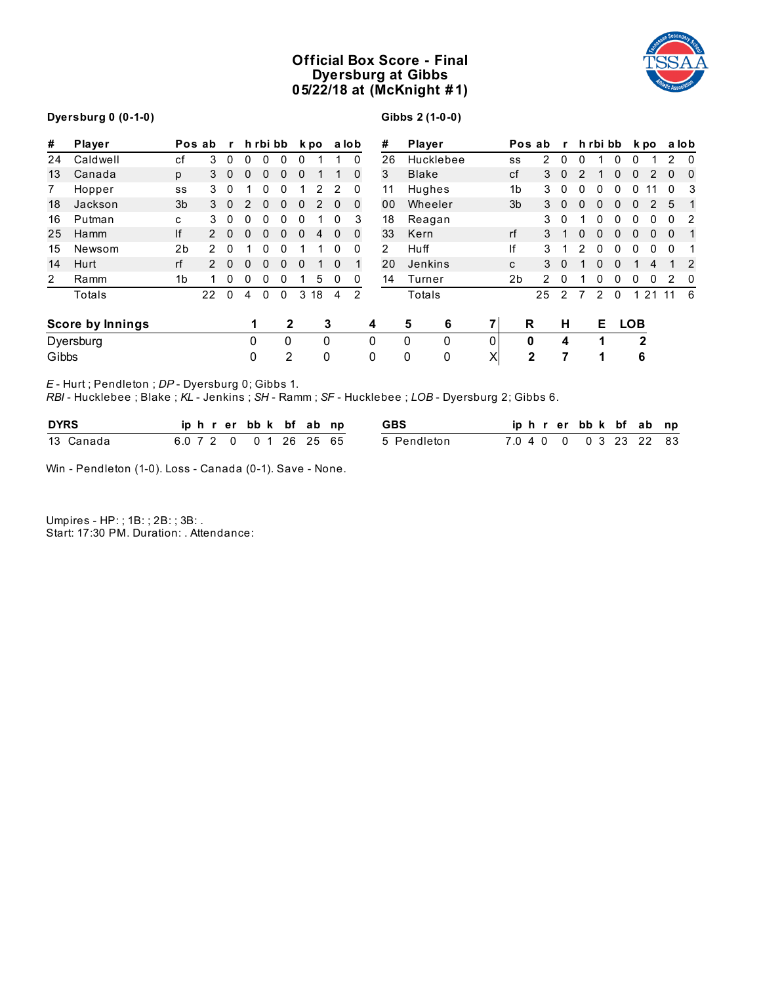# **Official Box Score - Final Dyersburg at Gibbs 05/22/18 at (McKnight # 1)**



## **Dyersburg 0 (0-1-0)**

**Gibbs 2 (1-0-0)**

| #     | Player                                                                           |                | Pos ab        | $\mathbf{r}$ |              | h rbi bb     |              |              | k po |              | a lob        |          | #  | Player        |          |                | Pos ab         | $\mathbf{r}$ |              |              | h rbi bb     |              | k po         |              | a lob          |
|-------|----------------------------------------------------------------------------------|----------------|---------------|--------------|--------------|--------------|--------------|--------------|------|--------------|--------------|----------|----|---------------|----------|----------------|----------------|--------------|--------------|--------------|--------------|--------------|--------------|--------------|----------------|
| 24    | Caldwell                                                                         | сf             | 3             | $\mathbf{0}$ | $\mathbf{0}$ | $\mathbf{0}$ | $\mathbf{0}$ | $\Omega$     |      | 1            | $\mathbf{0}$ |          | 26 | Hucklebee     |          | SS             | 2              | 0            | 0            |              | $\Omega$     | $\mathbf{0}$ |              | 2            | $\mathbf{0}$   |
| 13    | Canada                                                                           | p              | 3             | $\mathbf{0}$ | 0            | 0            | $\mathbf{0}$ | 0            |      |              | $\Omega$     |          | 3  | <b>Blake</b>  |          | cf             | 3              | $\Omega$     |              |              | 0            | 0            | 2            | $\Omega$     | $\overline{0}$ |
| 7     | Hopper                                                                           | SS             | 3             | 0            |              | 0            | 0            |              | 2    | 2            | 0            |          | 11 | Hughes        |          | 1b             | 3              | 0            | 0            | 0            | 0            | 0            |              | $\Omega$     | 3              |
| 18    | Jackson                                                                          | 3b             | 3             | $\mathbf{0}$ | 2            | $\Omega$     | $\mathbf{0}$ | $\mathbf{0}$ | 2    | $\Omega$     | $\Omega$     |          | 00 | Wheeler       |          | 3b             | 3              | $\Omega$     | $\Omega$     | 0            | 0            | 0            | 2            | 5            |                |
| 16    | Putman                                                                           | C              | 3             | 0            | 0            | 0            | 0            | 0            |      | 0            | 3            |          | 18 | Reagan        |          |                | 3              | $\Omega$     |              | 0            | 0            | 0            | 0            | 0            | 2              |
| 25    | Hamm                                                                             | lf             | $\mathcal{P}$ | $\Omega$     | 0            | 0            | $\Omega$     | $\Omega$     | 4    | $\mathbf{0}$ | 0            |          | 33 | Kern          |          | rf             | 3              |              | <sup>0</sup> | <sup>0</sup> | <sup>0</sup> | 0            | $\Omega$     | $\mathbf 0$  |                |
| 15    | Newsom                                                                           | 2 <sub>b</sub> |               | 0            |              | 0            | 0            |              |      | 0            | 0            |          | 2  | Huff          |          | lf             | 3              |              |              | 0            | 0            | $\Omega$     | $\mathbf{0}$ | $\mathbf{0}$ |                |
| 14    | Hurt                                                                             | rf             |               | $\Omega$     | 0            | $\Omega$     | 0            | $\Omega$     |      | $\Omega$     |              |          | 20 | Jenkins       |          | C              | 3              | $\Omega$     |              | U            | $\Omega$     |              | 4            |              | $\overline{2}$ |
| 2     | Ramm                                                                             | 1 <sub>b</sub> |               | 0            | 0            | 0            | $\mathbf{0}$ |              | 5    | 0            | 0            |          | 14 | Turner        |          | 2 <sub>b</sub> | $\overline{2}$ | 0            |              | 0            | $\mathbf{0}$ | $\Omega$     | $\mathbf{0}$ | 2            | 0              |
|       | Totals                                                                           |                | 22            | $\mathbf{0}$ | 4            | 0            | $\mathbf{0}$ | 3            | 18   | 4            | 2            |          |    | Totals        |          |                | 25             |              |              | 2            | $\mathbf{0}$ |              | 21           | 11           | - 6            |
|       | <b>Score by Innings</b>                                                          |                |               |              |              |              | 2            |              |      | 3            |              | 4        |    | 5<br>6        |          |                | R              | н            |              | Е            |              | <b>LOB</b>   |              |              |                |
|       | Dyersburg                                                                        |                |               |              | 0            |              | 0            |              | 0    |              |              | $\Omega$ |    | $\Omega$<br>0 | $\Omega$ |                | 0              | 4            |              |              |              |              | $\mathbf{2}$ |              |                |
| Gibbs |                                                                                  |                |               |              | 0            |              | 2            |              |      | 0            |              | 0        |    | 0<br>0        | X        |                | $\mathbf{2}$   | 7            |              | 1            |              | 6            |              |              |                |
|       | $\mathsf{F}$ . If $\mathsf{F}$ is a set of $\mathsf{F}$ is a set of $\mathsf{F}$ |                |               |              |              |              |              |              |      |              |              |          |    |               |          |                |                |              |              |              |              |              |              |              |                |

*E* - Hurt ; Pendleton ; *DP* - Dyersburg 0; Gibbs 1.

*RBI* - Hucklebee ; Blake ; *KL* - Jenkins ; *SH* - Ramm ; *SF* - Hucklebee ; *LOB* - Dyersburg 2; Gibbs 6.

| <b>DYRS</b> |                     |  |  |  | iphrerbbk bfabnp | <b>GBS</b>  | iphrerbbk bf ab np |  |                          |  |  |
|-------------|---------------------|--|--|--|------------------|-------------|--------------------|--|--------------------------|--|--|
| 13 Canada   | 6.072 0 01 26 25 65 |  |  |  |                  | 5 Pendleton |                    |  | 7.0 4 0 0 0 0 3 23 22 83 |  |  |

Win - Pendleton (1-0). Loss - Canada (0-1). Save - None.

Umpires - HP: ; 1B: ; 2B: ; 3B: . Start: 17:30 PM. Duration: . Attendance: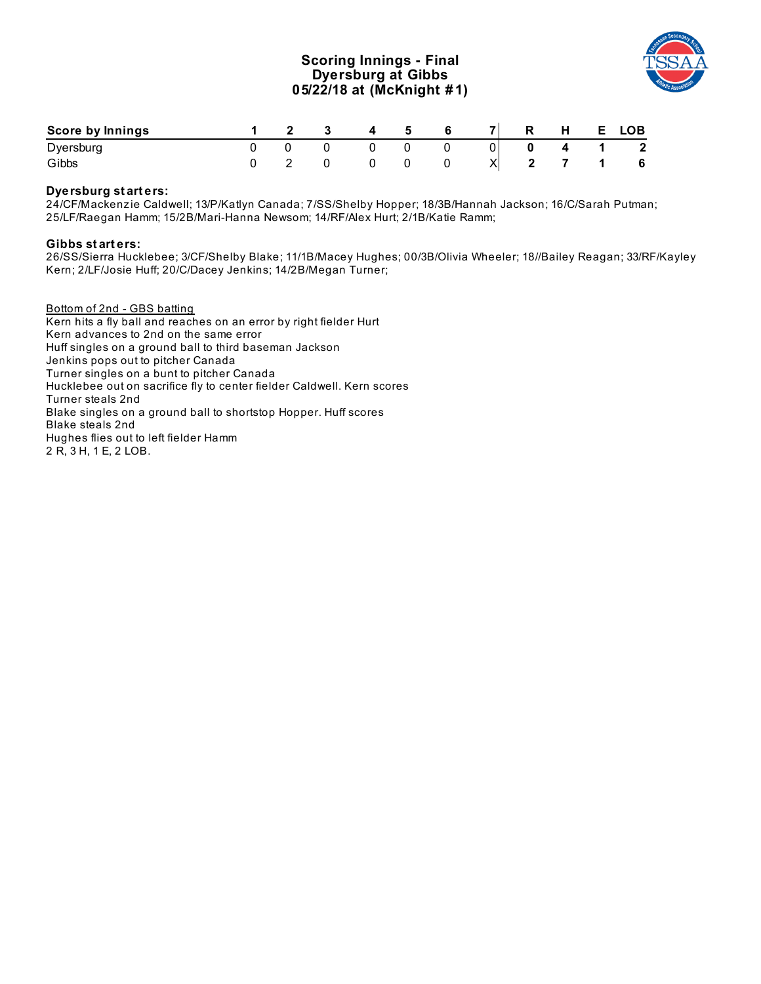## **Scoring Innings - Final Dyersburg at Gibbs 05/22/18 at (McKnight # 1)**



| <b>Score by Innings</b> |  |  | 4 5 6 | $\overline{7}$ |             | R H E LOB                                       |
|-------------------------|--|--|-------|----------------|-------------|-------------------------------------------------|
| Dyersburg               |  |  |       | 0              | $0 \quad 4$ | $1 \quad 2$                                     |
| Gibbs                   |  |  |       |                |             | $X \begin{bmatrix} 2 & 7 & 1 & 6 \end{bmatrix}$ |

#### **Dyersburg st art ers:**

24/CF/Mackenz ie Caldwell; 13/P/Katlyn Canada; 7/SS/Shelby Hopper; 18/3B/Hannah Jackson; 16/C/Sarah Putman; 25/LF/Raegan Hamm; 15/2B/Mari-Hanna Newsom; 14/RF/Alex Hurt; 2/1B/Katie Ramm;

#### **Gibbs st art ers:**

26/SS/Sierra Hucklebee; 3/CF/Shelby Blake; 11/1B/Macey Hughes; 00/3B/Olivia Wheeler; 18//Bailey Reagan; 33/RF/Kayley Kern; 2/LF/Josie Huff; 20/C/Dacey Jenkins; 14/2B/Megan Turner;

Bottom of 2nd - GBS batting Kern hits a fly ball and reaches on an error by right fielder Hurt Kern advances to 2nd on the same error Huff singles on a ground ball to third baseman Jackson Jenkins pops out to pitcher Canada Turner singles on a bunt to pitcher Canada Hucklebee out on sacrifice fly to center fielder Caldwell. Kern scores Turner steals 2nd Blake singles on a ground ball to shortstop Hopper. Huff scores Blake steals 2nd Hughes flies out to left fielder Hamm 2 R, 3 H, 1 E, 2 LOB.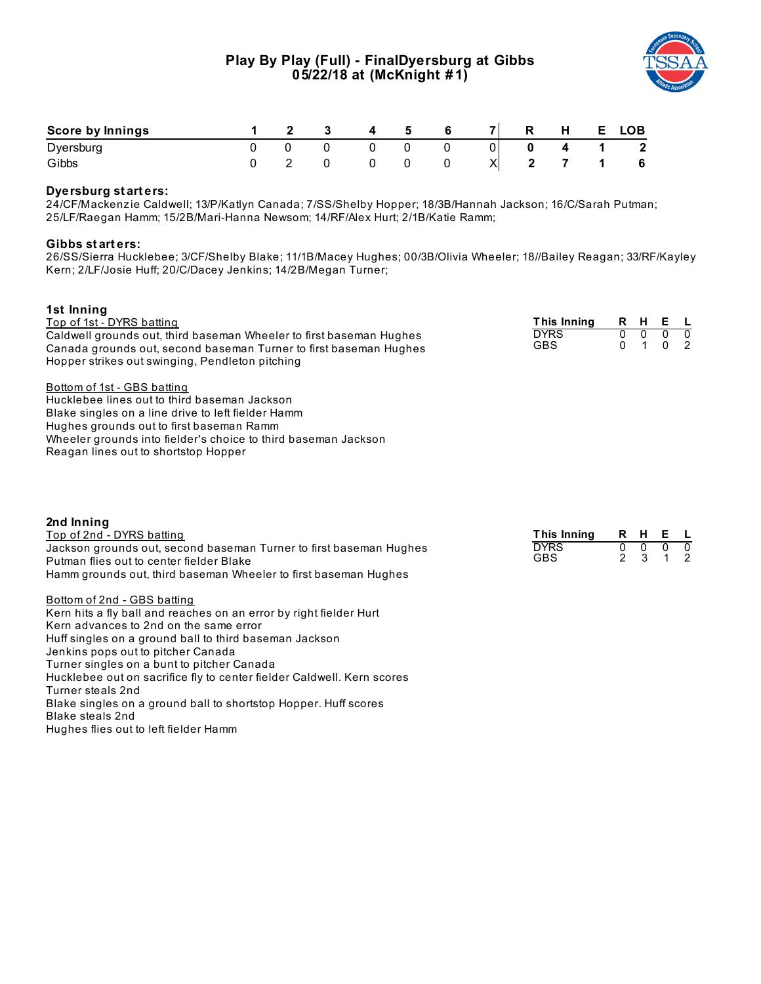# **Play By Play (Full) - FinalDyersburg at Gibbs 05/22/18 at (McKnight # 1)**



| Score by Innings |  |  |  | $\overline{7}$ | R | . . | E. | LOB.         |
|------------------|--|--|--|----------------|---|-----|----|--------------|
| Dyersburg        |  |  |  | 01             |   |     |    | $\mathbf{2}$ |
| Gibbs            |  |  |  | ⌒              |   |     |    | 6            |

### **Dyersburg st art ers:**

24/CF/Mackenz ie Caldwell; 13/P/Katlyn Canada; 7/SS/Shelby Hopper; 18/3B/Hannah Jackson; 16/C/Sarah Putman; 25/LF/Raegan Hamm; 15/2B/Mari-Hanna Newsom; 14/RF/Alex Hurt; 2/1B/Katie Ramm;

#### **Gibbs st art ers:**

26/SS/Sierra Hucklebee; 3/CF/Shelby Blake; 11/1B/Macey Hughes; 00/3B/Olivia Wheeler; 18//Bailey Reagan; 33/RF/Kayley Kern; 2/LF/Josie Huff; 20/C/Dacey Jenkins; 14/2B/Megan Turner;

| 1st Inning                                                             |                    |                |                |                |               |
|------------------------------------------------------------------------|--------------------|----------------|----------------|----------------|---------------|
| Top of 1st - DYRS batting                                              | <b>This Inning</b> | R H            |                | Е              | <b>L</b>      |
| Caldwell grounds out, third baseman Wheeler to first baseman Hughes    | <b>DYRS</b>        | $\overline{0}$ | $\overline{0}$ | $\overline{0}$ | ᠊ᢐ            |
| Canada grounds out, second baseman Turner to first baseman Hughes      | <b>GBS</b>         | $\Omega$       | $\mathbf{1}$   | $\mathbf{0}$   | 2             |
| Hopper strikes out swinging, Pendleton pitching                        |                    |                |                |                |               |
| Bottom of 1st - GBS batting                                            |                    |                |                |                |               |
| Hucklebee lines out to third baseman Jackson                           |                    |                |                |                |               |
| Blake singles on a line drive to left fielder Hamm                     |                    |                |                |                |               |
| Hughes grounds out to first baseman Ramm                               |                    |                |                |                |               |
| Wheeler grounds into fielder's choice to third baseman Jackson         |                    |                |                |                |               |
| Reagan lines out to shortstop Hopper                                   |                    |                |                |                |               |
|                                                                        |                    |                |                |                |               |
| 2nd Inning                                                             |                    |                |                |                |               |
| Top of 2nd - DYRS batting                                              | This Inning        |                | R H E          |                | <b>L</b>      |
| Jackson grounds out, second baseman Turner to first baseman Hughes     | <b>DYRS</b>        | $\overline{0}$ | $\frac{0}{3}$  | $\overline{0}$ | $\frac{0}{2}$ |
| Putman flies out to center fielder Blake                               | <b>GBS</b>         | $\mathfrak{p}$ |                | $\mathbf{1}$   |               |
| Hamm grounds out, third baseman Wheeler to first baseman Hughes        |                    |                |                |                |               |
| Bottom of 2nd - GBS batting                                            |                    |                |                |                |               |
| Kern hits a fly ball and reaches on an error by right fielder Hurt     |                    |                |                |                |               |
| Kern advances to 2nd on the same error                                 |                    |                |                |                |               |
| Huff singles on a ground ball to third baseman Jackson                 |                    |                |                |                |               |
| Jenkins pops out to pitcher Canada                                     |                    |                |                |                |               |
|                                                                        |                    |                |                |                |               |
| Turner singles on a bunt to pitcher Canada                             |                    |                |                |                |               |
| Hucklebee out on sacrifice fly to center fielder Caldwell. Kern scores |                    |                |                |                |               |
| Turner steals 2nd                                                      |                    |                |                |                |               |
| Blake singles on a ground ball to shortstop Hopper. Huff scores        |                    |                |                |                |               |
| Blake steals 2nd<br>Hughes flies out to left fielder Hamm              |                    |                |                |                |               |